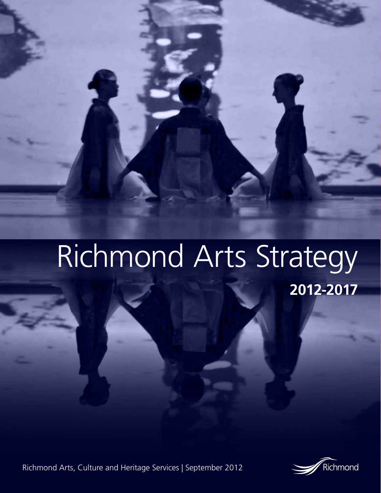# Richmond Arts Strategy

RICHMOND ARTS, CULTURE AND HERITAGE SERVICES | SEPTEMBER 2012

Richmond Arts, Culture and Heritage Services | September 2012



**2012-2017**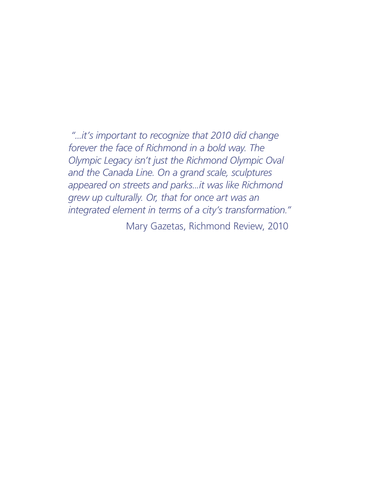*"...it's important to recognize that 2010 did change forever the face of Richmond in a bold way. The Olympic Legacy isn't just the Richmond Olympic Oval and the Canada Line. On a grand scale, sculptures appeared on streets and parks...it was like Richmond grew up culturally. Or, that for once art was an integrated element in terms of a city's transformation."*

Mary Gazetas, Richmond Review, 2010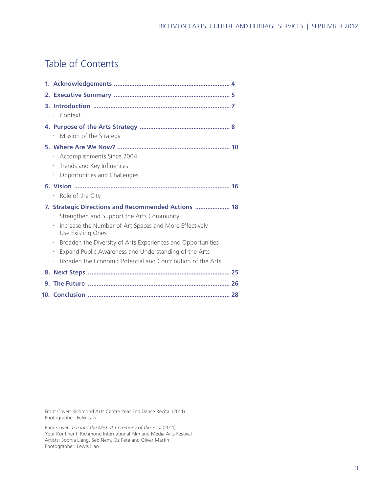# Table of Contents

| Context                                                                                                                                                                                                                                                                                                                                                                                                       |  |
|---------------------------------------------------------------------------------------------------------------------------------------------------------------------------------------------------------------------------------------------------------------------------------------------------------------------------------------------------------------------------------------------------------------|--|
| Mission of the Strategy                                                                                                                                                                                                                                                                                                                                                                                       |  |
| · Accomplishments Since 2004<br>Trends and Key Influences<br>$\bullet$<br>Opportunities and Challenges<br>$\bullet$                                                                                                                                                                                                                                                                                           |  |
| Role of the City<br>$\bullet$                                                                                                                                                                                                                                                                                                                                                                                 |  |
| 7. Strategic Directions and Recommended Actions  18<br>Strengthen and Support the Arts Community<br>Increase the Number of Art Spaces and More Effectively<br>Use Existing Ones<br>Broaden the Diversity of Arts Experiences and Opportunities<br>$\bullet$<br>Expand Public Awareness and Understanding of the Arts<br>$\bullet$<br>Broaden the Economic Potential and Contribution of the Arts<br>$\bullet$ |  |
|                                                                                                                                                                                                                                                                                                                                                                                                               |  |
|                                                                                                                                                                                                                                                                                                                                                                                                               |  |
|                                                                                                                                                                                                                                                                                                                                                                                                               |  |

Front Cover: Richmond Arts Centre Year End Dance Recital (2011) Photographer: Felix Law

Back Cover: *Tea into the Mist: A Ceremony of the Soul* (2011), Your Kontinent: Richmond International Film and Media Arts Festival Artists: Sophia Liang, Seb Nem, Oz Peta and Oliver Martin Photographer: Lewis Liao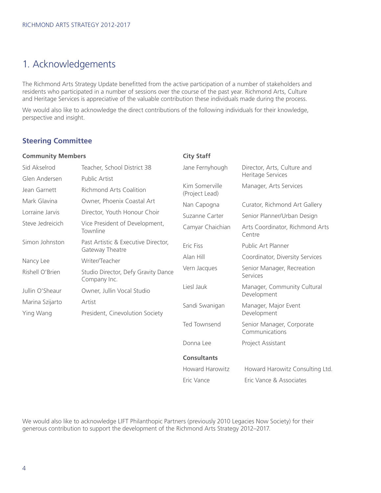# 1. Acknowledgements

The Richmond Arts Strategy Update benefitted from the active participation of a number of stakeholders and residents who participated in a number of sessions over the course of the past year. Richmond Arts, Culture and Heritage Services is appreciative of the valuable contribution these individuals made during the process.

We would also like to acknowledge the direct contributions of the following individuals for their knowledge, perspective and insight.

### **Steering Committee**

| <b>Community Members</b>     |                                                        | <b>City Staff</b>                |                                                  |  |
|------------------------------|--------------------------------------------------------|----------------------------------|--------------------------------------------------|--|
| Sid Akselrod                 | Teacher, School District 38                            |                                  | Director, Arts, Culture and<br>Heritage Services |  |
| Glen Andersen                | <b>Public Artist</b>                                   |                                  |                                                  |  |
| Jean Garnett                 | Richmond Arts Coalition                                | Kim Somerville<br>(Project Lead) | Manager, Arts Services                           |  |
| Mark Glavina                 | Owner, Phoenix Coastal Art                             | Nan Capogna                      | Curator, Richmond Art Gallery                    |  |
| Lorraine Jarvis              | Director, Youth Honour Choir                           | Suzanne Carter                   | Senior Planner/Urban Design                      |  |
| Steve Jedreicich             | Vice President of Development,<br>Townline             | Camyar Chaichian                 | Arts Coordinator, Richmond Arts<br>Centre        |  |
| Simon Johnston               | Past Artistic & Executive Director,<br>Gateway Theatre | <b>Eric Fiss</b>                 | Public Art Planner                               |  |
| Nancy Lee                    | Writer/Teacher                                         | Alan Hill                        | Coordinator, Diversity Services                  |  |
| Rishell O'Brien              | Studio Director, Defy Gravity Dance<br>Company Inc.    | Vern Jacques                     | Senior Manager, Recreation<br>Services           |  |
| Jullin O'Sheaur              | Owner, Jullin Vocal Studio                             | Liesl Jauk                       | Manager, Community Cultural<br>Development       |  |
| Marina Szijarto<br>Ying Wang | Artist<br>President, Cinevolution Society              | Sandi Swanigan                   | Manager, Major Event<br>Development              |  |
|                              |                                                        | <b>Ted Townsend</b>              | Senior Manager, Corporate<br>Communications      |  |
|                              |                                                        | Donna Lee                        | Project Assistant                                |  |
|                              |                                                        | <b>Consultants</b>               |                                                  |  |
|                              |                                                        | Howard Harowitz                  | Howard Harowitz Consulting Ltd.                  |  |
|                              |                                                        | Eric Vance                       | Eric Vance & Associates                          |  |

We would also like to acknowledge LIFT Philanthopic Partners (previously 2010 Legacies Now Society) for their generous contribution to support the development of the Richmond Arts Strategy 2012–2017.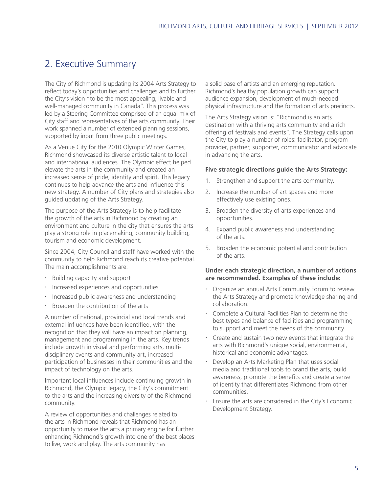## 2. Executive Summary

The City of Richmond is updating its 2004 Arts Strategy to reflect today's opportunities and challenges and to further the City's vision "to be the most appealing, livable and well-managed community in Canada". This process was led by a Steering Committee comprised of an equal mix of City staff and representatives of the arts community. Their work spanned a number of extended planning sessions, supported by input from three public meetings.

As a Venue City for the 2010 Olympic Winter Games, Richmond showcased its diverse artistic talent to local and international audiences. The Olympic effect helped elevate the arts in the community and created an increased sense of pride, identity and spirit. This legacy continues to help advance the arts and influence this new strategy. A number of City plans and strategies also guided updating of the Arts Strategy.

The purpose of the Arts Strategy is to help facilitate the growth of the arts in Richmond by creating an environment and culture in the city that ensures the arts play a strong role in placemaking, community building, tourism and economic development.

Since 2004, City Council and staff have worked with the community to help Richmond reach its creative potential. The main accomplishments are:

- x Building capacity and support
- x Increased experiences and opportunities
- x Increased public awareness and understanding
- Broaden the contribution of the arts

A number of national, provincial and local trends and external influences have been identified, with the recognition that they will have an impact on planning, management and programming in the arts. Key trends include growth in visual and performing arts, multidisciplinary events and community art, increased participation of businesses in their communities and the impact of technology on the arts.

Important local influences include continuing growth in Richmond, the Olympic legacy, the City's commitment to the arts and the increasing diversity of the Richmond community.

A review of opportunities and challenges related to the arts in Richmond reveals that Richmond has an opportunity to make the arts a primary engine for further enhancing Richmond's growth into one of the best places to live, work and play. The arts community has

a solid base of artists and an emerging reputation. Richmond's healthy population growth can support audience expansion, development of much-needed physical infrastructure and the formation of arts precincts.

The Arts Strategy vision is: "Richmond is an arts destination with a thriving arts community and a rich offering of festivals and events". The Strategy calls upon the City to play a number of roles: facilitator, program provider, partner, supporter, communicator and advocate in advancing the arts.

### **Five strategic directions guide the Arts Strategy:**

- 1. Strengthen and support the arts community.
- 2. Increase the number of art spaces and more effectively use existing ones.
- 3. Broaden the diversity of arts experiences and opportunities.
- 4. Expand public awareness and understanding of the arts.
- 5. Broaden the economic potential and contribution of the arts.

### **Under each strategic direction, a number of actions are recommended. Examples of these include:**

- Organize an annual Arts Community Forum to review the Arts Strategy and promote knowledge sharing and collaboration.
- $\cdot$  Complete a Cultural Facilities Plan to determine the best types and balance of facilities and programming to support and meet the needs of the community.
- $\cdot$  Create and sustain two new events that integrate the arts with Richmond's unique social, environmental, historical and economic advantages.
- Develop an Arts Marketing Plan that uses social media and traditional tools to brand the arts, build awareness, promote the benefits and create a sense of identity that differentiates Richmond from other communities.
- Ensure the arts are considered in the City's Economic Development Strategy.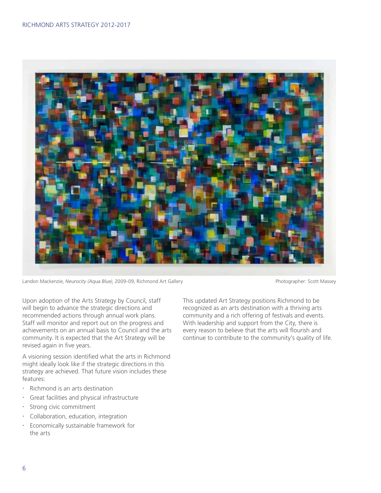

Landon Mackenzie, *Neurocity (Aqua Blue)*, 2009-09, Richmond Art Gallery **Photographer: Scott Massey** Photographer: Scott Massey

Upon adoption of the Arts Strategy by Council, staff will begin to advance the strategic directions and recommended actions through annual work plans. Staff will monitor and report out on the progress and achievements on an annual basis to Council and the arts community. It is expected that the Art Strategy will be revised again in five years.

A visioning session identified what the arts in Richmond might ideally look like if the strategic directions in this strategy are achieved. That future vision includes these features:

- $\cdot$  Richmond is an arts destination
- x Great facilities and physical infrastructure
- · Strong civic commitment
- x Collaboration, education, integration
- x Economically sustainable framework for the arts

This updated Art Strategy positions Richmond to be recognized as an arts destination with a thriving arts community and a rich offering of festivals and events. With leadership and support from the City, there is every reason to believe that the arts will flourish and continue to contribute to the community's quality of life.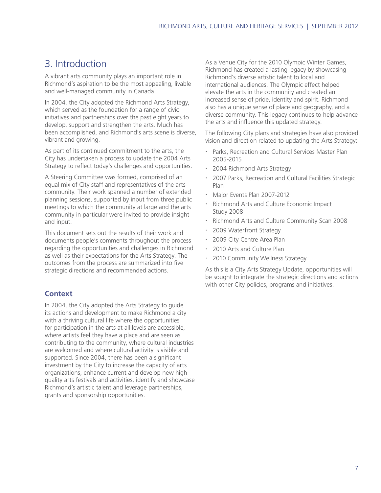# 3. Introduction

A vibrant arts community plays an important role in Richmond's aspiration to be the most appealing, livable and well-managed community in Canada.

In 2004, the City adopted the Richmond Arts Strategy, which served as the foundation for a range of civic initiatives and partnerships over the past eight years to develop, support and strengthen the arts. Much has been accomplished, and Richmond's arts scene is diverse, vibrant and growing.

As part of its continued commitment to the arts, the City has undertaken a process to update the 2004 Arts Strategy to reflect today's challenges and opportunities.

A Steering Committee was formed, comprised of an equal mix of City staff and representatives of the arts community. Their work spanned a number of extended planning sessions, supported by input from three public meetings to which the community at large and the arts community in particular were invited to provide insight and input.

This document sets out the results of their work and documents people's comments throughout the process regarding the opportunities and challenges in Richmond as well as their expectations for the Arts Strategy. The outcomes from the process are summarized into five strategic directions and recommended actions.

### **Context**

In 2004, the City adopted the Arts Strategy to guide its actions and development to make Richmond a city with a thriving cultural life where the opportunities for participation in the arts at all levels are accessible, where artists feel they have a place and are seen as contributing to the community, where cultural industries are welcomed and where cultural activity is visible and supported. Since 2004, there has been a significant investment by the City to increase the capacity of arts organizations, enhance current and develop new high quality arts festivals and activities, identify and showcase Richmond's artistic talent and leverage partnerships, grants and sponsorship opportunities.

As a Venue City for the 2010 Olympic Winter Games, Richmond has created a lasting legacy by showcasing Richmond's diverse artistic talent to local and international audiences. The Olympic effect helped elevate the arts in the community and created an increased sense of pride, identity and spirit. Richmond also has a unique sense of place and geography, and a diverse community. This legacy continues to help advance the arts and influence this updated strategy.

The following City plans and strategies have also provided vision and direction related to updating the Arts Strategy:

- x Parks, Recreation and Cultural Services Master Plan 2005-2015
- 2004 Richmond Arts Strategy
- 2007 Parks, Recreation and Cultural Facilities Strategic Plan
- x Major Events Plan 2007-2012
- Richmond Arts and Culture Economic Impact Study 2008
- x Richmond Arts and Culture Community Scan 2008
- 2009 Waterfront Strategy
- 2009 City Centre Area Plan
- 2010 Arts and Culture Plan
- 2010 Community Wellness Strategy

As this is a City Arts Strategy Update, opportunities will be sought to integrate the strategic directions and actions with other City policies, programs and initiatives.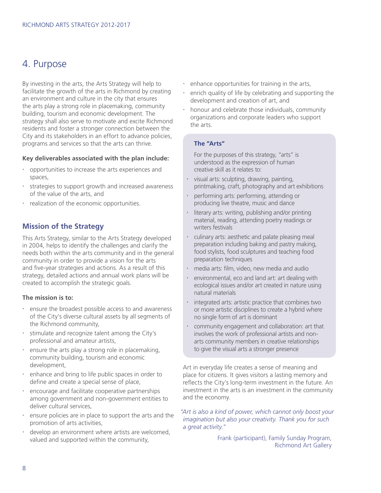### 4. Purpose

By investing in the arts, the Arts Strategy will help to facilitate the growth of the arts in Richmond by creating an environment and culture in the city that ensures the arts play a strong role in placemaking, community building, tourism and economic development. The strategy shall also serve to motivate and excite Richmond residents and foster a stronger connection between the City and its stakeholders in an effort to advance policies, programs and services so that the arts can thrive.

### **Key deliverables associated with the plan include:**

- **·** opportunities to increase the arts experiences and spaces,
- **Example 3** strategies to support growth and increased awareness of the value of the arts, and
- realization of the economic opportunities.

### **Mission of the Strategy**

This Arts Strategy, similar to the Arts Strategy developed in 2004, helps to identify the challenges and clarify the needs both within the arts community and in the general community in order to provide a vision for the arts and five-year strategies and actions. As a result of this strategy, detailed actions and annual work plans will be created to accomplish the strategic goals.

### **The mission is to:**

- ensure the broadest possible access to and awareness of the City's diverse cultural assets by all segments of the Richmond community,
- $\cdot$  stimulate and recognize talent among the City's professional and amateur artists,
- $\cdot$  ensure the arts play a strong role in placemaking, community building, tourism and economic development,
- enhance and bring to life public spaces in order to define and create a special sense of place,
- encourage and facilitate cooperative partnerships among government and non-government entities to deliver cultural services,
- $\cdot$  ensure policies are in place to support the arts and the promotion of arts activities,
- develop an environment where artists are welcomed, valued and supported within the community,
- $\cdot$  enhance opportunities for training in the arts,
- enrich quality of life by celebrating and supporting the development and creation of art, and
- honour and celebrate those individuals, community organizations and corporate leaders who support the arts.

### **The "Arts"**

For the purposes of this strategy, "arts" is understood as the expression of human creative skill as it relates to:

- visual arts: sculpting, drawing, painting, printmaking, craft, photography and art exhibitions
- x performing arts: performing, attending or producing live theatre, music and dance
- **·** literary arts: writing, publishing and/or printing material, reading, attending poetry readings or writers festivals
- $\cdot$  culinary arts: aesthetic and palate pleasing meal preparation including baking and pastry making, food stylists, food sculptures and teaching food preparation techniques
- x media arts: film, video, new media and audio
- $\cdot$  environmental, eco and land art: art dealing with ecological issues and/or art created in nature using natural materials
- $\cdot$  integrated arts: artistic practice that combines two or more artistic disciplines to create a hybrid where no single form of art is dominant
- x community engagement and collaboration: art that involves the work of professional artists and nonarts community members in creative relationships to give the visual arts a stronger presence

Art in everyday life creates a sense of meaning and place for citizens. It gives visitors a lasting memory and reflects the City's long-term investment in the future. An investment in the arts is an investment in the community and the economy.

 *"Art is also a kind of power, which cannot only boost your imagination but also your creativity. Thank you for such a great activity."*

> Frank (participant), Family Sunday Program, Richmond Art Gallery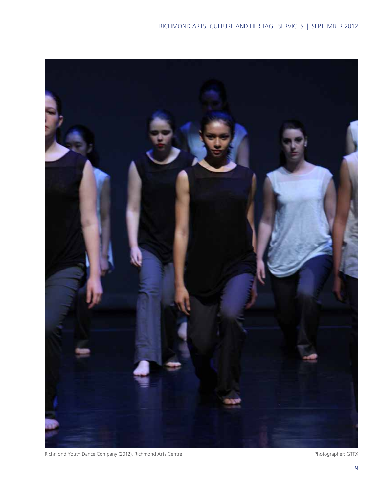

Richmond Youth Dance Company (2012), Richmond Arts Centre **Photographer: GTFX** Photographer: GTFX

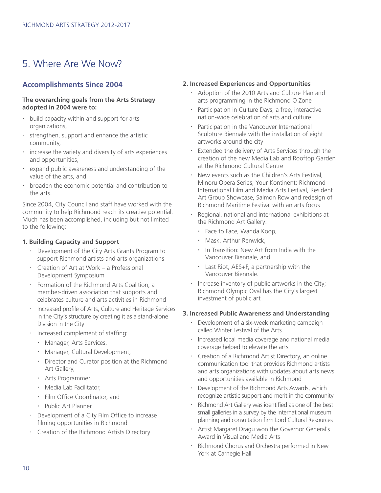# 5. Where Are We Now?

### **Accomplishments Since 2004**

### **The overarching goals from the Arts Strategy adopted in 2004 were to:**

- $\cdot$  build capacity within and support for arts organizations,
- $\cdot$  strengthen, support and enhance the artistic community,
- $\cdot$  increase the variety and diversity of arts experiences and opportunities,
- expand public awareness and understanding of the value of the arts, and
- $\cdot$  broaden the economic potential and contribution to the arts.

Since 2004, City Council and staff have worked with the community to help Richmond reach its creative potential. Much has been accomplished, including but not limited to the following:

### **1. Building Capacity and Support**

- Development of the City Arts Grants Program to support Richmond artists and arts organizations
- x Creation of Art at Work a Professional Development Symposium
- Formation of the Richmond Arts Coalition, a member-driven association that supports and celebrates culture and arts activities in Richmond
- Increased profile of Arts, Culture and Heritage Services in the City's structure by creating it as a stand-alone Division in the City
- · Increased complement of staffing:
	- Manager, Arts Services,
	- Manager, Cultural Development,
	- Director and Curator position at the Richmond Art Gallery,
	- Arts Programmer
	- Media Lab Facilitator,
	- Film Office Coordinator, and
	- Public Art Planner
- Development of a City Film Office to increase filming opportunities in Richmond
- x Creation of the Richmond Artists Directory

### **2. Increased Experiences and Opportunities**

- x Adoption of the 2010 Arts and Culture Plan and arts programming in the Richmond O Zone
- Participation in Culture Days, a free, interactive nation-wide celebration of arts and culture
- Participation in the Vancouver International Sculpture Biennale with the installation of eight artworks around the city
- x Extended the delivery of Arts Services through the creation of the new Media Lab and Rooftop Garden at the Richmond Cultural Centre
- New events such as the Children's Arts Festival, Minoru Opera Series, Your Kontinent: Richmond International Film and Media Arts Festival, Resident Art Group Showcase, Salmon Row and redesign of Richmond Maritime Festival with an arts focus
- x Regional, national and international exhibitions at the Richmond Art Gallery:
	- Face to Face, Wanda Koop,
	- Mask, Arthur Renwick,
	- In Transition: New Art from India with the Vancouver Biennale, and
	- Last Riot, AES+F, a partnership with the Vancouver Biennale.
- $\cdot$  Increase inventory of public artworks in the City; Richmond Olympic Oval has the City's largest investment of public art

### **3. Increased Public Awareness and Understanding**

- Development of a six-week marketing campaign called Winter Festival of the Arts
- Increased local media coverage and national media coverage helped to elevate the arts
- Creation of a Richmond Artist Directory, an online communication tool that provides Richmond artists and arts organizations with updates about arts news and opportunities available in Richmond
- Development of the Richmond Arts Awards, which recognize artistic support and merit in the community
- Richmond Art Gallery was identified as one of the best small galleries in a survey by the international museum planning and consultation firm Lord Cultural Resources
- x Artist Margaret Dragu won the Governor General's Award in Visual and Media Arts
- Richmond Chorus and Orchestra performed in New York at Carnegie Hall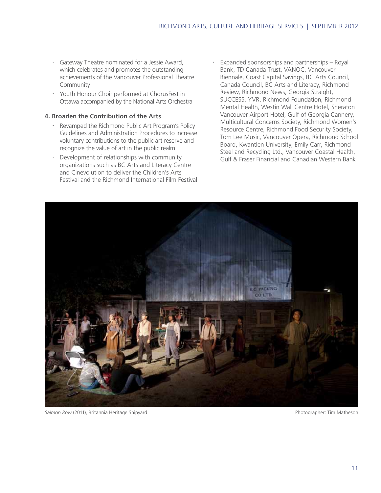- x Gateway Theatre nominated for a Jessie Award, which celebrates and promotes the outstanding achievements of the Vancouver Professional Theatre Community
- x Youth Honour Choir performed at ChorusFest in Ottawa accompanied by the National Arts Orchestra

### **4. Broaden the Contribution of the Arts**

- . Revamped the Richmond Public Art Program's Policy Guidelines and Administration Procedures to increase voluntary contributions to the public art reserve and recognize the value of art in the public realm
- Development of relationships with community organizations such as BC Arts and Literacy Centre and Cinevolution to deliver the Children's Arts Festival and the Richmond International Film Festival
- Expanded sponsorships and partnerships Royal Bank, TD Canada Trust, VANOC, Vancouver Biennale, Coast Capital Savings, BC Arts Council, Canada Council, BC Arts and Literacy, Richmond Review, Richmond News, Georgia Straight, SUCCESS, YVR, Richmond Foundation, Richmond Mental Health, Westin Wall Centre Hotel, Sheraton Vancouver Airport Hotel, Gulf of Georgia Cannery, Multicultural Concerns Society, Richmond Women's Resource Centre, Richmond Food Security Society, Tom Lee Music, Vancouver Opera, Richmond School Board, Kwantlen University, Emily Carr, Richmond Steel and Recycling Ltd., Vancouver Coastal Health, Gulf & Fraser Financial and Canadian Western Bank



**Salmon Row (2011), Britannia Heritage Shipyard Photographer: Tim Matheson** Photographer: Tim Matheson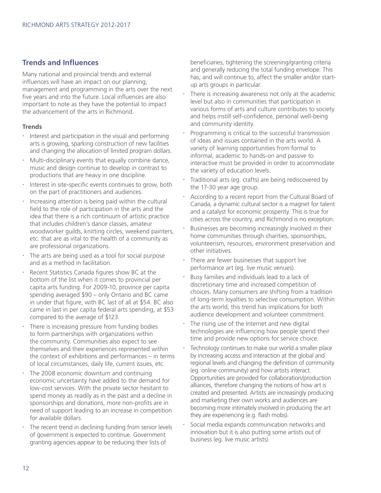### **Trends and Influences**

Many national and provincial trends and external influences will have an impact on our planning, management and programming in the arts over the next five years and into the future. Local influences are also important to note as they have the potential to impact the advancement of the arts in Richmond.

### **Trends**

- $\cdot$  Interest and participation in the visual and performing arts is growing, sparking construction of new facilities and changing the allocation of limited program dollars.
- $\cdot$  Multi-disciplinary events that equally combine dance, music and design continue to develop in contrast to productions that are heavy in one discipline.
- Interest in site-specific events continues to grow, both on the part of practitioners and audiences.
- $\cdot$  Increasing attention is being paid within the cultural field to the role of participation in the arts and the idea that there is a rich continuum of artistic practice that includes children's dance classes, amateur woodworker guilds, knitting circles, weekend painters, etc. that are as vital to the health of a community as are professional organizations.
- The arts are being used as a tool for social purpose and as a method in facilitation.
- Recent Statistics Canada figures show BC at the bottom of the list when it comes to provincial per capita arts funding. For 2009-10, province per capita spending averaged \$90 – only Ontario and BC came in under that figure, with BC last of all at \$54. BC also came in last in per capita federal arts spending, at \$53 compared to the average of \$123.
- $\cdot$  There is increasing pressure from funding bodies to form partnerships with organizations within the community. Communities also expect to see themselves and their experiences represented within the context of exhibitions and performances – in terms of local circumstances, daily life, current issues, etc.
- The 2008 economic downturn and continuing economic uncertainty have added to the demand for low-cost services. With the private sector hesitant to spend money as readily as in the past and a decline in sponsorships and donations, more non-profits are in need of support leading to an increase in competition for available dollars.
- The recent trend in declining funding from senior levels of government is expected to continue. Government granting agencies appear to be reducing their lists of

beneficiaries, tightening the screening/granting criteria and generally reducing the total funding envelope. This has, and will continue to, affect the smaller and/or startup arts groups in particular.

- There is increasing awareness not only at the academic level but also in communities that participation in various forms of arts and culture contributes to society and helps instill self-confidence, personal well-being and community identity.
- Programming is critical to the successful transmission of ideas and issues contained in the arts world. A variety of learning opportunities from formal to informal, academic to hands-on and passive to interactive must be provided in order to accommodate the variety of education levels.
- Traditional arts (eg. crafts) are being rediscovered by the 17-30 year age group.
- According to a recent report from the Cultural Board of Canada, a dynamic cultural sector is a magnet for talent and a catalyst for economic prosperity. This is true for cities across the country, and Richmond is no exception.
- Businesses are becoming increasingly involved in their home communities through charities, sponsorships, volunteerism, resources, environment preservation and other initiatives.
- There are fewer businesses that support live performance art (eg. live music venues).
- Busy families and individuals lead to a lack of discretionary time and increased competition of choices. Many consumers are shifting from a tradition of long-term loyalties to selective consumption. Within the arts world, this trend has implications for both audience development and volunteer commitment.
- The rising use of the Internet and new digital technologies are influencing how people spend their time and provide new options for service choice.
- Technology continues to make our world a smaller place by increasing access and interaction at the global and regional levels and changing the definition of community (eg. online community) and how artists interact. Opportunities are provided for collaboration/production alliances, therefore changing the notions of how art is created and presented. Artists are increasingly producing and marketing their own works and audiences are becoming more intimately involved in producing the art they are experiencing (e.g. flash mobs).
- Social media expands communication networks and innovation but it is also putting some artists out of business (eg. live music artists).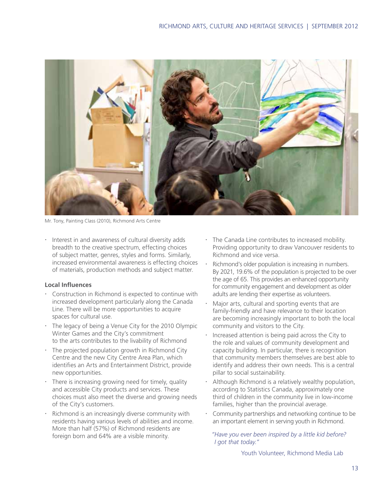

Mr. Tony, Painting Class (2010), Richmond Arts Centre

x Interest in and awareness of cultural diversity adds breadth to the creative spectrum, effecting choices of subject matter, genres, styles and forms. Similarly, increased environmental awareness is effecting choices of materials, production methods and subject matter.

### **Local Influences**

- **Construction in Richmond is expected to continue with** increased development particularly along the Canada Line. There will be more opportunities to acquire spaces for cultural use.
- $\cdot$  The legacy of being a Venue City for the 2010 Olympic Winter Games and the City's commitment to the arts contributes to the livability of Richmond
- $\cdot$  The projected population growth in Richmond City Centre and the new City Centre Area Plan, which identifies an Arts and Entertainment District, provide new opportunities.
- $\cdot$  There is increasing growing need for timely, quality and accessible City products and services. These choices must also meet the diverse and growing needs of the City's customers.
- Richmond is an increasingly diverse community with residents having various levels of abilities and income. More than half (57%) of Richmond residents are foreign born and 64% are a visible minority.
- $\cdot$  The Canada Line contributes to increased mobility. Providing opportunity to draw Vancouver residents to Richmond and vice versa.
- Richmond's older population is increasing in numbers. By 2021, 19.6% of the population is projected to be over the age of 65. This provides an enhanced opportunity for community engagement and development as older adults are lending their expertise as volunteers.
- Major arts, cultural and sporting events that are family-friendly and have relevance to their location are becoming increasingly important to both the local community and visitors to the City.
- Increased attention is being paid across the City to the role and values of community development and capacity building. In particular, there is recognition that community members themselves are best able to identify and address their own needs. This is a central pillar to social sustainability.
- Although Richmond is a relatively wealthy population, according to Statistics Canada, approximately one third of children in the community live in low-income families, higher than the provincial average.
- Community partnerships and networking continue to be an important element in serving youth in Richmond.

 *"Have you ever been inspired by a little kid before? I got that today."*

Youth Volunteer, Richmond Media Lab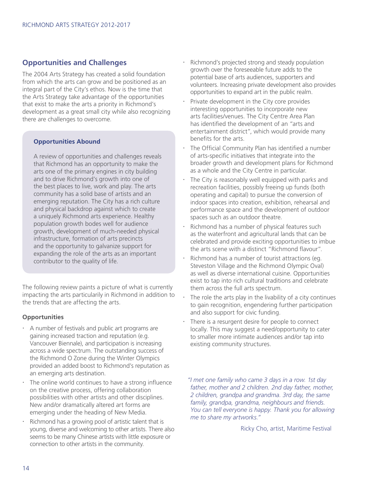### **Opportunities and Challenges**

The 2004 Arts Strategy has created a solid foundation from which the arts can grow and be positioned as an integral part of the City's ethos. Now is the time that the Arts Strategy take advantage of the opportunities that exist to make the arts a priority in Richmond's development as a great small city while also recognizing there are challenges to overcome.

### **Opportunities Abound**

A review of opportunities and challenges reveals that Richmond has an opportunity to make the arts one of the primary engines in city building and to drive Richmond's growth into one of the best places to live, work and play. The arts community has a solid base of artists and an emerging reputation. The City has a rich culture and physical backdrop against which to create a uniquely Richmond arts experience. Healthy population growth bodes well for audience growth, development of much-needed physical infrastructure, formation of arts precincts and the opportunity to galvanize support for expanding the role of the arts as an important contributor to the quality of life.

The following review paints a picture of what is currently impacting the arts particularily in Richmond in addition to the trends that are affecting the arts.

### **Opportunities**

- $\cdot$  A number of festivals and public art programs are gaining increased traction and reputation (e.g. Vancouver Biennale), and participation is increasing across a wide spectrum. The outstanding success of the Richmond O Zone during the Winter Olympics provided an added boost to Richmond's reputation as an emerging arts destination.
- The online world continues to have a strong influence on the creative process, offering collaboration possibilities with other artists and other disciplines. New and/or dramatically altered art forms are emerging under the heading of New Media.
- Richmond has a growing pool of artistic talent that is young, diverse and welcoming to other artists. There also seems to be many Chinese artists with little exposure or connection to other artists in the community.
- Richmond's projected strong and steady population growth over the foreseeable future adds to the potential base of arts audiences, supporters and volunteers. Increasing private development also provides opportunities to expand art in the public realm.
- Private development in the City core provides interesting opportunities to incorporate new arts facilities/venues. The City Centre Area Plan has identified the development of an "arts and entertainment district", which would provide many benefits for the arts.
- The Official Community Plan has identified a number of arts-specific initiatives that integrate into the broader growth and development plans for Richmond as a whole and the City Centre in particular.
- The City is reasonably well equipped with parks and recreation facilities, possibly freeing up funds (both operating and capital) to pursue the conversion of indoor spaces into creation, exhibition, rehearsal and performance space and the development of outdoor spaces such as an outdoor theatre.
- Richmond has a number of physical features such as the waterfront and agricultural lands that can be celebrated and provide exciting opportunities to imbue the arts scene with a distinct "Richmond flavour".
- Richmond has a number of tourist attractions (eg. Steveston Village and the Richmond Olympic Oval) as well as diverse international cuisine. Opportunities exist to tap into rich cultural traditions and celebrate them across the full arts spectrum.
- The role the arts play in the livability of a city continues to gain recognition, engendering further participation and also support for civic funding.
- There is a resurgent desire for people to connect locally. This may suggest a need/opportunity to cater to smaller more intimate audiences and/or tap into existing community structures.

 *"I met one family who came 3 days in a row. 1st day father, mother and 2 children. 2nd day father, mother, 2 children, grandpa and grandma. 3rd day, the same family, grandpa, grandma, neighbours and friends. You can tell everyone is happy. Thank you for allowing me to share my artworks."*

Ricky Cho, artist, Maritime Festival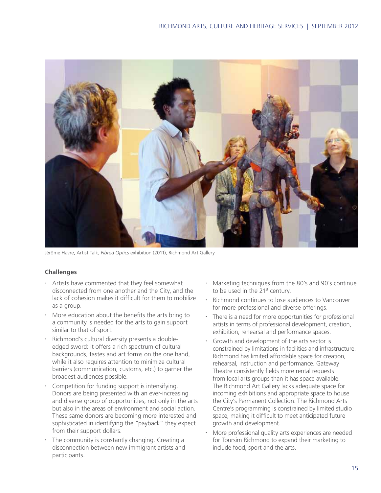

Jérôme Havre, Artist Talk, *Fibred Optics* exhibition (2011), Richmond Art Gallery

### **Challenges**

- Artists have commented that they feel somewhat disconnected from one another and the City, and the lack of cohesion makes it difficult for them to mobilize as a group.
- x More education about the benefits the arts bring to a community is needed for the arts to gain support similar to that of sport.
- $\cdot$  Richmond's cultural diversity presents a doubleedged sword: it offers a rich spectrum of cultural backgrounds, tastes and art forms on the one hand, while it also requires attention to minimize cultural barriers (communication, customs, etc.) to garner the broadest audiences possible.
- **Competition for funding support is intensifying.** Donors are being presented with an ever-increasing and diverse group of opportunities, not only in the arts but also in the areas of environment and social action. These same donors are becoming more interested and sophisticated in identifying the "payback" they expect from their support dollars.
- $\cdot$  The community is constantly changing. Creating a disconnection between new immigrant artists and participants.
- x Marketing techniques from the 80's and 90's continue to be used in the 21<sup>st</sup> century.
- $\cdot$  Richmond continues to lose audiences to Vancouver for more professional and diverse offerings.
- $\cdot$  There is a need for more opportunities for professional artists in terms of professional development, creation, exhibition, rehearsal and performance spaces.
- Growth and development of the arts sector is constrained by limitations in facilities and infrastructure. Richmond has limited affordable space for creation, rehearsal, instruction and performance. Gateway Theatre consistently fields more rental requests from local arts groups than it has space available. The Richmond Art Gallery lacks adequate space for incoming exhibitions and appropriate space to house the City's Permanent Collection. The Richmond Arts Centre's programming is constrained by limited studio space, making it difficult to meet anticipated future growth and development.
- More professional quality arts experiences are needed for Toursim Richmond to expand their marketing to include food, sport and the arts.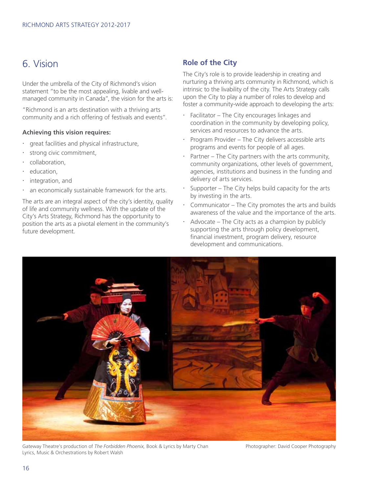### 6. Vision

Under the umbrella of the City of Richmond's vision statement "to be the most appealing, livable and wellmanaged community in Canada", the vision for the arts is:

"Richmond is an arts destination with a thriving arts community and a rich offering of festivals and events".

### **Achieving this vision requires:**

- great facilities and physical infrastructure,
- strong civic commitment,
- collaboration.
- education,
- integration, and
- an economically sustainable framework for the arts.

The arts are an integral aspect of the city's identity, quality of life and community wellness. With the update of the City's Arts Strategy, Richmond has the opportunity to position the arts as a pivotal element in the community's future development.

### **Role of the City**

The City's role is to provide leadership in creating and nurturing a thriving arts community in Richmond, which is intrinsic to the livability of the city. The Arts Strategy calls upon the City to play a number of roles to develop and foster a community-wide approach to developing the arts:

- x Facilitator The City encourages linkages and coordination in the community by developing policy, services and resources to advance the arts.
- $\cdot$  Program Provider The City delivers accessible arts programs and events for people of all ages.
- Partner The City partners with the arts community, community organizations, other levels of government, agencies, institutions and business in the funding and delivery of arts services.
- Supporter The City helps build capacity for the arts by investing in the arts.
- Communicator The City promotes the arts and builds awareness of the value and the importance of the arts.
- x Advocate The City acts as a champion by publicly supporting the arts through policy development, financial investment, program delivery, resource development and communications.



Gateway Theatre's production of *The Forbidden Phoenix,* Book & Lyrics by Marty Chan Photographer: David Cooper Photography Lyrics, Music & Orchestrations by Robert Walsh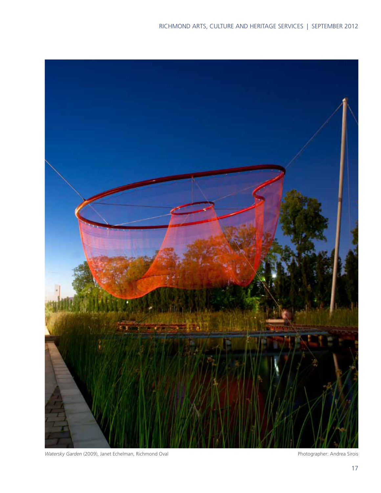

Watersky Garden (2009), Janet Echelman, Richmond Oval **Photographer: Andrea Sirois** Photographer: Andrea Sirois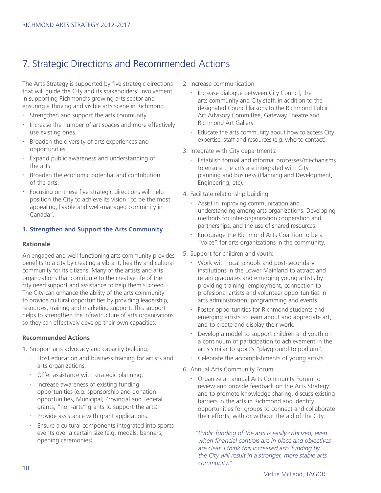# 7. Strategic Directions and Recommended Actions

The Arts Strategy is supported by five strategic directions that will guide the City and its stakeholders' involvement in supporting Richmond's growing arts sector and ensuring a thriving and visible arts scene in Richmond.

- x Strengthen and support the arts community.
- Increase the number of art spaces and more effectively use existing ones.
- Broaden the diversity of arts experiences and opportunities.
- Expand public awareness and understanding of the arts.
- $\cdot$  Broaden the economic potential and contribution of the arts.
- $\cdot$  Focusing on these five strategic directions will help position the City to achieve its vision "to be the most appealing, livable and well-managed comminity in Canada".

### **1. Strengthen and Support the Arts Community**

#### **Rationale**

An engaged and well functioning arts community provides benefits to a city by creating a vibrant, healthy and cultural community for its citizens. Many of the artists and arts organizations that contribute to the creative life of the city need support and assistance to help them succeed. The City can enhance the ability of the arts community to provide cultural opportunities by providing leadership, resources, training and marketing support. This support helps to strengthen the infrastructure of arts organizations so they can effectively develop their own capacities.

### **Recommended Actions**

- 1. Support arts advocacy and capacity building:
	- $\cdot$  Host education and business training for artists and arts organizations.
	- Offer assistance with strategic planning.
	- Increase awareness of existing funding opportunities (e.g. sponsorship and donation opportunities, Municipal, Provincial and Federal grants, "non-arts" grants to support the arts).
	- Provide assistance with grant applications.
	- x Ensure a cultural components integrated into sports events over a certain size (e.g. medals, banners, opening ceremonies).
- 2. Increase communication
	- Increase dialogue between City Council, the arts community and City staff, in addition to the designated Council liaisons to the Richmond Public Art Advisory Committee, Gateway Theatre and Richmond Art Gallery.
	- Educate the arts community about how to access City expertise, staff and resources (e.g. who to contact).
- 3. Integrate with City departments:
	- $\cdot$  Establish formal and informal processes/mechanisms to ensure the arts are integrated with City planning and business (Planning and Development, Engineering, etc).
- 4. Facilitate relationship building:
	- Assist in improving communication and understanding among arts organizations. Developing methods for inter-organization cooperation and partnerships, and the use of shared resources.
	- Encourage the Richmond Arts Coalition to be a "voice" for arts organizations in the community.
- 5. Support for children and youth:
	- Work with local schools and post-secondary institutions in the Lower Mainland to attract and retain graduates and emerging young artists by providing training, employment, connection to profesional artists and volunteer opportunities in arts administration, programming and events.
	- Foster opportunities for Richmond students and emerging artists to learn about and appreciate art, and to create and display their work.
	- Develop a model to support children and youth on a continuum of participation to achievement in the art's similar to sport's "playground to podium".
	- $\cdot$  Celebrate the accomplishments of young artists.
- 6. Annual Arts Community Forum:
	- x Organize an annual Arts Community Forum to review and provide feedback on the Arts Strategy and to promote knowledge sharing, discuss existing barriers in the arts in Richmond and identify opportunities for groups to connect and collaborate their efforts, with or without the aid of the City.

 *"Public funding of the arts is easily criticized, even when financial controls are in place and objectives are clear. I think this increased arts funding by the City will result in a stronger, more stable arts community."*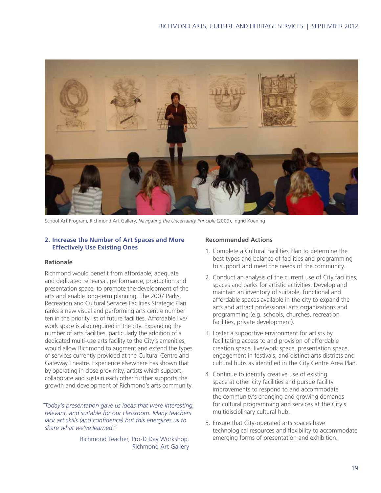

School Art Program, Richmond Art Gallery, *Navigating the Uncertainty Principle* (2009), Ingrid Koening

### **2. Increase the Number of Art Spaces and More Effectively Use Existing Ones**

#### **Rationale**

Richmond would benefit from affordable, adequate and dedicated rehearsal, performance, production and presentation space, to promote the development of the arts and enable long-term planning. The 2007 Parks, Recreation and Cultural Services Facilities Strategic Plan ranks a new visual and performing arts centre number ten in the priority list of future facilities. Affordable live/ work space is also required in the city. Expanding the number of arts facilities, particularly the addition of a dedicated multi-use arts facility to the City's amenities, would allow Richmond to augment and extend the types of services currently provided at the Cultural Centre and Gateway Theatre. Experience elsewhere has shown that by operating in close proximity, artists which support, collaborate and sustain each other further supports the growth and development of Richmond's arts community.

 *"Today's presentation gave us ideas that were interesting, relevant, and suitable for our classroom. Many teachers lack art skills (and confidence) but this energizes us to share what we've learned."*

> Richmond Teacher, Pro-D Day Workshop, Richmond Art Gallery

### **Recommended Actions**

- 1. Complete a Cultural Facilities Plan to determine the best types and balance of facilities and programming to support and meet the needs of the community.
- 2. Conduct an analysis of the current use of City facilities, spaces and parks for artistic activities. Develop and maintain an inventory of suitable, functional and affordable spaces available in the city to expand the arts and attract professional arts organizations and programming (e.g. schools, churches, recreation facilities, private development).
- 3. Foster a supportive environment for artists by facilitating access to and provision of affordable creation space, live/work space, presentation space, engagement in festivals, and distinct arts districts and cultural hubs as identified in the City Centre Area Plan.
- 4. Continue to identify creative use of existing space at other city facilities and pursue facility improvements to respond to and accommodate the community's changing and growing demands for cultural programming and services at the City's multidisciplinary cultural hub.
- 5. Ensure that City-operated arts spaces have technological resources and flexibility to accommodate emerging forms of presentation and exhibition.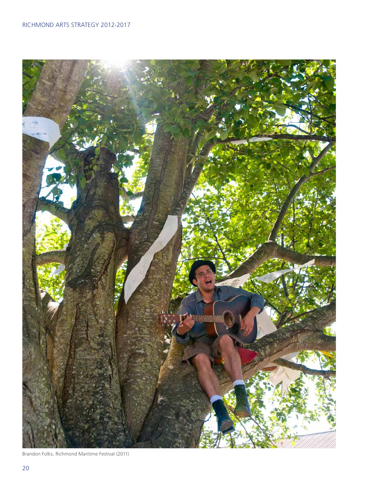

Brandon Folks, Richmond Maritime Festival (2011)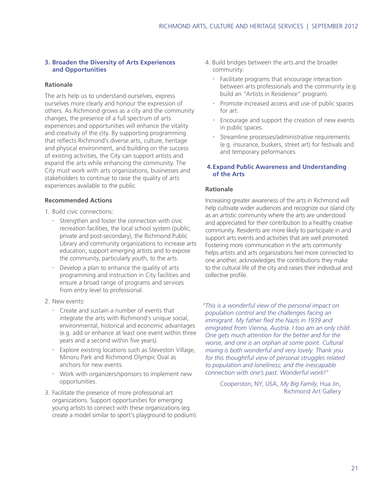### **3. Broaden the Diversity of Arts Experiences and Opportunities**

### **Rationale**

The arts help us to understand ourselves, express ourselves more clearly and honour the expression of others. As Richmond grows as a city and the community changes, the presence of a full spectrum of arts experiences and opportunities will enhance the vitality and creativity of the city. By supporting programming that reflects Richmond's diverse arts, culture, heritage and physical environment, and building on the success of existing activities, the City can support artists and expand the arts while enhancing the community. The City must work with arts organizations, businesses and stakeholders to continue to raise the quality of arts experiences available to the public.

### **Recommended Actions**

- 1. Build civic connections:
	- $\cdot$  Strengthen and foster the connection with civic recreation facilities, the local school system (public, private and post-secondary), the Richmond Public Library and community organizations to increase arts education, support emerging artists and to expose the community, particularly youth, to the arts.
	- Develop a plan to enhance the quality of arts programming and instruction in City facilities and ensure a broad range of programs and services from entry level to professional.
- 2. New events:
	- $\cdot$  Create and sustain a number of events that integrate the arts with Richmond's unique social, environmental, historical and economic advantages (e.g. add or enhance at least one event within three years and a second within five years).
	- x Explore existing locations such as Steveston Village, Minoru Park and Richmond Olympic Oval as anchors for new events.
	- Work with organizers/sponsors to implement new opportunities.
- 3. Facilitate the presence of more professional art organizations. Support opportunities for emerging young artists to connect with these organizations (eg. create a model similar to sport's playground to podium).
- 4. Build bridges between the arts and the broader community:
	- Facilitate programs that encourage interaction between arts professionals and the community (e.g. build an "Artists in Residence" program).
	- Promote increased access and use of public spaces for art.
	- Encourage and support the creation of new events in public spaces.
	- Streamline processes/administrative requirements (e.g. insurance, buskers, street art) for festivals and and temporary peformances.

### **4.Expand Public Awareness and Understanding of the Arts**

### **Rationale**

Increasing greater awareness of the arts in Richmond will help cultivate wider audiences and recognize our island city as an artistic community where the arts are understood and appreciated for their contribution to a healthy creative community. Residents are more likely to participate in and support arts events and activities that are well promoted. Fostering more communication in the arts community helps artists and arts organizations feel more connected to one another, acknowledges the contributions they make to the cultural life of the city and raises their individual and collective profile.

 *"This is a wonderful view of the personal impact on population control and the challenges facing an immigrant. My father fled the Nazis in 1939 and emigrated from Vienna, Austria. I too am an only child. One gets much attention for the better and for the worse, and one is an orphan at some point. Cultural mixing is both wonderful and very lovely. Thank you for this thoughtful view of personal struggles related to population and loneliness; and the inescapable connection with one's past. Wonderful work!"*

> Cooperston, NY, USA, *My Big Family*, Hua Jin, Richmond Art Gallery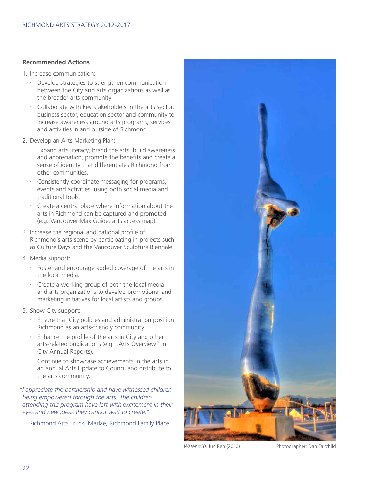### **Recommended Actions**

- 1. Increase communication:
	- $\cdot$  Develop strategies to strengthen communication between the City and arts organizations as well as the broader arts community.
	- $\cdot$  Collaborate with key stakeholders in the arts sector, business sector, education sector and community to increase awareness around arts programs, services and activities in and outside of Richmond.
- 2. Develop an Arts Marketing Plan:
	- x Expand arts literacy, brand the arts, build awareness and appreciation, promote the benefits and create a sense of identity that differentiates Richmond from other communities.
	- Consistently coordinate messaging for programs, events and activities, using both social media and traditional tools.
	- $\cdot$  Create a central place where information about the arts in Richmond can be captured and promoted (e.g. Vancouver Max Guide, arts access map).
- 3. Increase the regional and national profile of Richmond's arts scene by participating in projects such as Culture Days and the Vancouver Sculpture Biennale.
- 4. Media support:
	- x Foster and encourage added coverage of the arts in the local media.
	- $\cdot$  Create a working group of both the local media and arts organizations to develop promotional and marketing initiatives for local artists and groups.
- 5. Show City support:
	- $\cdot$  Ensure that City policies and administration position Richmond as an arts-friendly community.
	- Enhance the profile of the arts in City and other arts-related publications (e.g. "Arts Overview" in City Annual Reports).
	- $\cdot$  Continue to showcase achievements in the arts in an annual Arts Update to Council and distribute to the arts community.

 *"I appreciate the partnership and have witnessed children being empowered through the arts. The children attending this program have left with excitement in their eyes and new ideas they cannot wait to create."*

Richmond Arts Truck, Marlae, Richmond Family Place



*Water #10*, Jun Ren (2010) Photographer: Dan Fairchild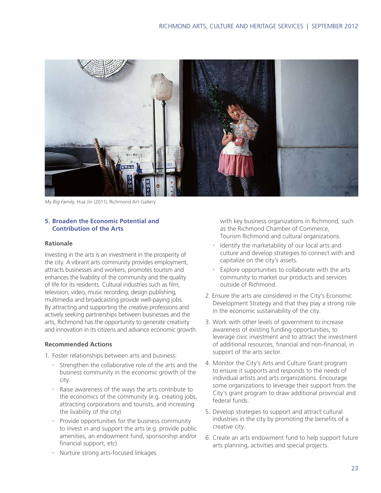

*My Big Family*, Hua Jin (2011), Richmond Art Gallery

### **5. Broaden the Economic Potential and Contribution of the Arts**

#### **Rationale**

Investing in the arts is an investment in the prosperity of the city. A vibrant arts community provides employment, attracts businesses and workers, promotes tourism and enhances the livability of the community and the quality of life for its residents. Cultural industries such as film, television, video, music recording, design publishing, multimedia and broadcasting provide well-paying jobs. By attracting and supporting the creative professions and actively seeking partnerships between businesses and the arts, Richmond has the opportunity to generate creativity and innovation in its citizens and advance economic growth.

#### **Recommended Actions**

- 1. Foster relationships between arts and business:
	- $\cdot$  Strengthen the collaborative role of the arts and the business community in the economic growth of the city.
	- Raise awareness of the ways the arts contribute to the economics of the community (e.g. creating jobs, attracting corporations and tourists, and increasing the livability of the city).
	- Provide opportunities for the business community to invest in and support the arts (e.g. provide public amenities, an endowment fund, sponsorship and/or financial support, etc).
	- x Nurture strong arts-focused linkages

with key business organizations in Richmond, such as the Richmond Chamber of Commerce, Tourism Richmond and cultural organizations.

- Identify the marketability of our local arts and culture and develop strategies to connect with and capitalize on the city's assets.
- Explore opportunities to collaborate with the arts community to market our products and services outside of Richmond.
- 2. Ensure the arts are considered in the City's Economic Development Strategy and that they play a strong role in the economic sustainability of the city.
- 3. Work with other levels of government to increase awareness of existing funding opportunities, to leverage civic investment and to attract the investment of additional resources, financial and non-financial, in support of the arts sector.
- 4. Monitor the City's Arts and Culture Grant program to ensure it supports and responds to the needs of individual artists and arts organizations. Encourage some organizations to leverage their support from the City's grant program to draw additional provincial and federal funds.
- 5. Develop strategies to support and attract cultural industries in the city by promoting the benefits of a creative city.
- 6. Create an arts endowment fund to help support future arts planning, activities and special projects.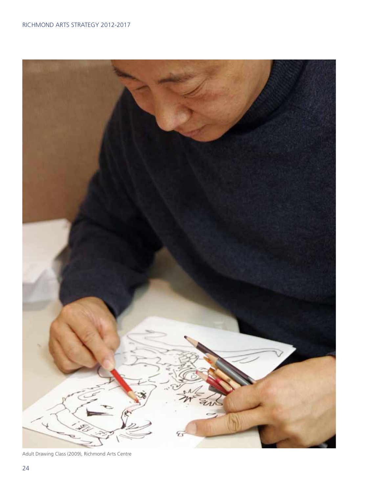

Adult Drawing Class (2009), Richmond Arts Centre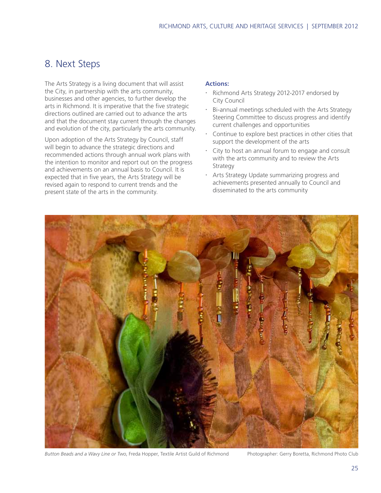### 8. Next Steps

The Arts Strategy is a living document that will assist the City, in partnership with the arts community, businesses and other agencies, to further develop the arts in Richmond. It is imperative that the five strategic directions outlined are carried out to advance the arts and that the document stay current through the changes and evolution of the city, particularly the arts community.

Upon adoption of the Arts Strategy by Council, staff will begin to advance the strategic directions and recommended actions through annual work plans with the intention to monitor and report out on the progress and achievements on an annual basis to Council. It is expected that in five years, the Arts Strategy will be revised again to respond to current trends and the present state of the arts in the community.

### **Actions:**

- Richmond Arts Strategy 2012-2017 endorsed by City Council
- x Bi-annual meetings scheduled with the Arts Strategy Steering Committee to discuss progress and identify current challenges and opportunities
- $\cdot$  Continue to explore best practices in other cities that support the development of the arts
- City to host an annual forum to engage and consult with the arts community and to review the Arts Strategy
- **EXEL Arts Strategy Update summarizing progress and** achievements presented annually to Council and disseminated to the arts community



*Button Beads and a Wavy Line or Two*, Freda Hopper, Textile Artist Guild of Richmond Photographer: Gerry Boretta, Richmond Photo Club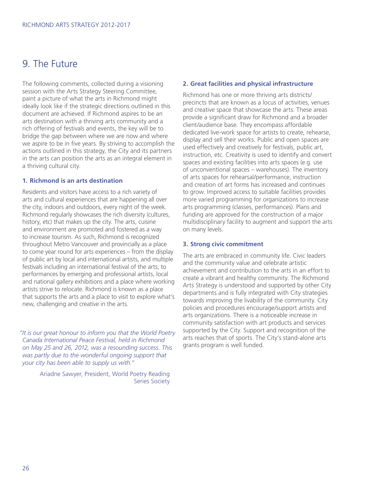### 9. The Future

The following comments, collected during a visioning session with the Arts Strategy Steering Committee, paint a picture of what the arts in Richmond might ideally look like if the strategic directions outlined in this document are achieved. If Richmond aspires to be an arts destination with a thriving arts community and a rich offering of festivals and events, the key will be to bridge the gap between where we are now and where we aspire to be in five years. By striving to accomplish the actions outlined in this strategy, the City and its partners in the arts can position the arts as an integral element in a thriving cultural city.

### **1. Richmond is an arts destination**

Residents and visitors have access to a rich variety of arts and cultural experiences that are happening all over the city, indoors and outdoors, every night of the week. Richmond regularly showcases the rich diversity (cultures, history, etc) that makes up the city. The arts, cuisine and environment are promoted and fostered as a way to increase tourism. As such, Richmond is recognized throughout Metro Vancouver and provincially as a place to come year round for arts experiences – from the display of public art by local and international artists, and multiple festivals including an international festival of the arts, to performances by emerging and professional artists, local and national gallery exhibitions and a place where working artists strive to relocate. Richmond is known as a place that supports the arts and a place to visit to explore what's new, challenging and creative in the arts.

 *"It is our great honour to inform you that the World Poetry Canada International Peace Festival, held in Richmond on May 25 and 26, 2012, was a resounding success. This was partly due to the wonderful ongoing support that your city has been able to supply us with."*

> Ariadne Sawyer, President, World Poetry Reading Series Society

#### **2. Great facilities and physical infrastructure**

Richmond has one or more thriving arts districts/ precincts that are known as a locus of activities, venues and creative space that showcase the arts. These areas provide a significant draw for Richmond and a broader client/audience base. They encompass affordable dedicated live-work space for artists to create, rehearse, display and sell their works. Public and open spaces are used effectively and creatively for festivals, public art, instruction, etc. Creativity is used to identify and convert spaces and existing facilities into arts spaces (e.g. use of unconventional spaces – warehouses). The inventory of arts spaces for rehearsal/performance, instruction and creation of art forms has increased and continues to grow. Improved access to suitable facilities provides more varied programming for organizations to increase arts programming (classes, performances). Plans and funding are approved for the construction of a major multidisciplinary facility to augment and support the arts on many levels.

#### **3. Strong civic commitment**

The arts are embraced in community life. Civic leaders and the community value and celebrate artistic achievement and contribution to the arts in an effort to create a vibrant and healthy community. The Richmond Arts Strategy is understood and supported by other City departments and is fully integrated with City strategies towards improving the livability of the community. City policies and procedures encourage/support artists and arts organizations. There is a noticeable increase in community satisfaction with art products and services supported by the City. Support and recognition of the arts reaches that of sports. The City's stand-alone arts grants program is well funded.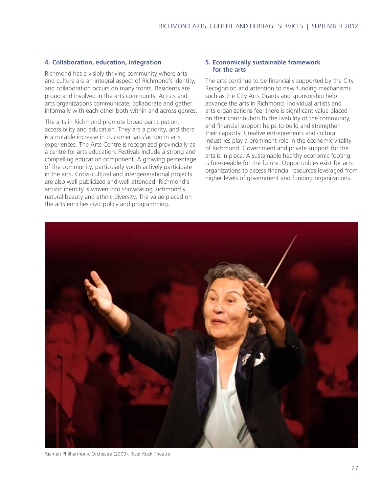### **4. Collaboration, education, integration**

Richmond has a visibly thriving community where arts and culture are an integral aspect of Richmond's identity, and collaboration occurs on many fronts. Residents are proud and involved in the arts community. Artists and arts organizations communicate, collaborate and gather informally with each other both within and across genres.

The arts in Richmond promote broad participation, accessibility and education. They are a priority, and there is a notable increase in customer satisfaction in arts experiences. The Arts Centre is recognized provincially as a centre for arts education. Festivals include a strong and compelling education component. A growing percentage of the community, particularly youth actively participate in the arts. Cross-cultural and intergenerational projects are also well publicized and well attended. Richmond's artistic identity is woven into showcasing Richmond's natural beauty and ethnic diversity. The value placed on the arts enriches civic policy and programming.

#### **5. Economically sustainable framework for the arts**

The arts continue to be financially supported by the City. Recognition and attention to new funding mechanisms such as the City Arts Grants and sponsorship help advance the arts in Richmond. Individual artists and arts organizations feel there is significant value placed on their contribution to the livability of the community, and financial support helps to build and strengthen their capacity. Creative entrepreneurs and cultural industries play a prominent role in the economic vitality of Richmond. Government and private support for the arts is in place. A sustainable healthy economic footing is foreseeable for the future. Opportunities exist for arts organizations to access financial resources leveraged from higher levels of government and funding organizations.



Xiamen Philharmonic Orchestra (2009), River Rock Theatre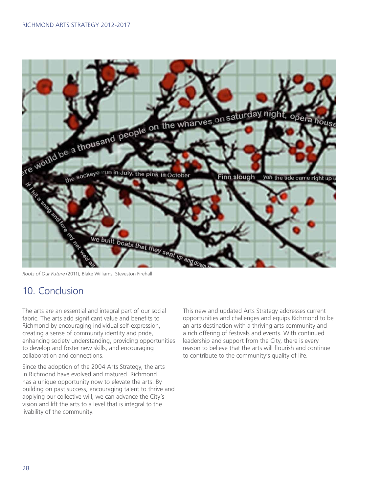

*Roots of Our Future* (2011), Blake Williams, Steveston Firehall

# 10. Conclusion

The arts are an essential and integral part of our social fabric. The arts add significant value and benefits to Richmond by encouraging individual self-expression, creating a sense of community identity and pride, enhancing society understanding, providing opportunities to develop and foster new skills, and encouraging collaboration and connections.

Since the adoption of the 2004 Arts Strategy, the arts in Richmond have evolved and matured. Richmond has a unique opportunity now to elevate the arts. By building on past success, encouraging talent to thrive and applying our collective will, we can advance the City's vision and lift the arts to a level that is integral to the livability of the community.

This new and updated Arts Strategy addresses current opportunities and challenges and equips Richmond to be an arts destination with a thriving arts community and a rich offering of festivals and events. With continued leadership and support from the City, there is every reason to believe that the arts will flourish and continue to contribute to the community's quality of life.